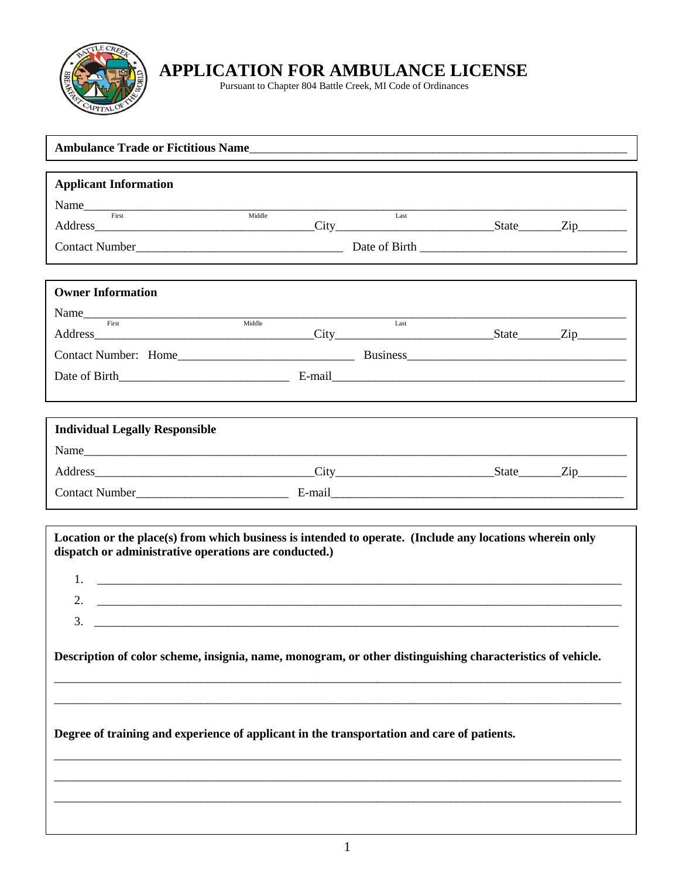

 $\bf APPLICATION\ FOR\ AMBULANCE\ LICENSE\n\nPursuant to Chapter 804\ Battle \textit{Create}$  MI Code of Ordinances

| <b>Applicant Information</b>                                                                               |      |  |  |
|------------------------------------------------------------------------------------------------------------|------|--|--|
| Name First Middle                                                                                          |      |  |  |
|                                                                                                            | Last |  |  |
|                                                                                                            |      |  |  |
|                                                                                                            |      |  |  |
| <b>Owner Information</b>                                                                                   |      |  |  |
| Name First Middle                                                                                          | Last |  |  |
|                                                                                                            |      |  |  |
|                                                                                                            |      |  |  |
|                                                                                                            |      |  |  |
|                                                                                                            |      |  |  |
| <b>Individual Legally Responsible</b>                                                                      |      |  |  |
|                                                                                                            |      |  |  |
|                                                                                                            |      |  |  |
|                                                                                                            |      |  |  |
|                                                                                                            |      |  |  |
| Location or the place(s) from which business is intended to operate. (Include any locations wherein only   |      |  |  |
| dispatch or administrative operations are conducted.)                                                      |      |  |  |
| 1.                                                                                                         |      |  |  |
| 2.                                                                                                         |      |  |  |
| 3.                                                                                                         |      |  |  |
| Description of color scheme, insignia, name, monogram, or other distinguishing characteristics of vehicle. |      |  |  |
|                                                                                                            |      |  |  |
|                                                                                                            |      |  |  |
|                                                                                                            |      |  |  |
| Degree of training and experience of applicant in the transportation and care of patients.                 |      |  |  |
|                                                                                                            |      |  |  |
|                                                                                                            |      |  |  |
|                                                                                                            |      |  |  |
|                                                                                                            |      |  |  |